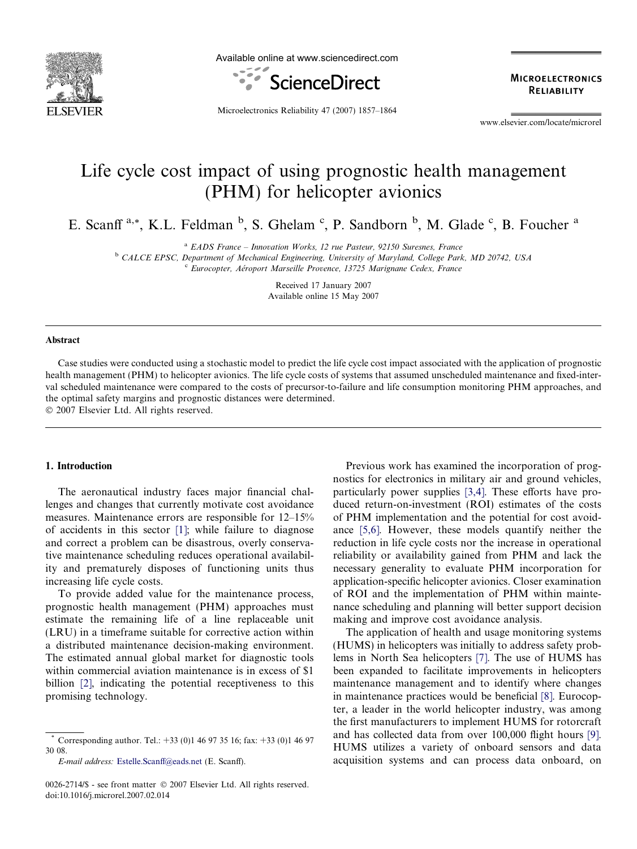

Available online at www.sciencedirect.com



**MICROELECTRONICS** RELIABILITY

Microelectronics Reliability 47 (2007) 1857–1864

www.elsevier.com/locate/microrel

# Life cycle cost impact of using prognostic health management (PHM) for helicopter avionics

E. Scanff<sup>a,\*</sup>, K.L. Feldman <sup>b</sup>, S. Ghelam <sup>c</sup>, P. Sandborn <sup>b</sup>, M. Glade <sup>c</sup>, B. Foucher <sup>a</sup>

<sup>a</sup> EADS France – Innovation Works, 12 rue Pasteur, 92150 Suresnes, France

<sup>b</sup> CALCE EPSC, Department of Mechanical Engineering, University of Maryland, College Park, MD 20742, USA

<sup>c</sup> Eurocopter, Aéroport Marseille Provence, 13725 Marignane Cedex, France

Received 17 January 2007 Available online 15 May 2007

#### Abstract

Case studies were conducted using a stochastic model to predict the life cycle cost impact associated with the application of prognostic health management (PHM) to helicopter avionics. The life cycle costs of systems that assumed unscheduled maintenance and fixed-interval scheduled maintenance were compared to the costs of precursor-to-failure and life consumption monitoring PHM approaches, and the optimal safety margins and prognostic distances were determined.

 $© 2007 Elsevier Ltd. All rights reserved.$ 

#### 1. Introduction

The aeronautical industry faces major financial challenges and changes that currently motivate cost avoidance measures. Maintenance errors are responsible for 12–15% of accidents in this sector [\[1\];](#page-7-0) while failure to diagnose and correct a problem can be disastrous, overly conservative maintenance scheduling reduces operational availability and prematurely disposes of functioning units thus increasing life cycle costs.

To provide added value for the maintenance process, prognostic health management (PHM) approaches must estimate the remaining life of a line replaceable unit (LRU) in a timeframe suitable for corrective action within a distributed maintenance decision-making environment. The estimated annual global market for diagnostic tools within commercial aviation maintenance is in excess of \$1 billion [\[2\],](#page-7-0) indicating the potential receptiveness to this promising technology.

E-mail address: [Estelle.Scanff@eads.net](mailto:Estelle.Scanff@eads.net) (E. Scanff).

Previous work has examined the incorporation of prognostics for electronics in military air and ground vehicles, particularly power supplies [\[3,4\].](#page-7-0) These efforts have produced return-on-investment (ROI) estimates of the costs of PHM implementation and the potential for cost avoidance [\[5,6\].](#page-7-0) However, these models quantify neither the reduction in life cycle costs nor the increase in operational reliability or availability gained from PHM and lack the necessary generality to evaluate PHM incorporation for application-specific helicopter avionics. Closer examination of ROI and the implementation of PHM within maintenance scheduling and planning will better support decision making and improve cost avoidance analysis.

The application of health and usage monitoring systems (HUMS) in helicopters was initially to address safety problems in North Sea helicopters [\[7\].](#page-7-0) The use of HUMS has been expanded to facilitate improvements in helicopters maintenance management and to identify where changes in maintenance practices would be beneficial [\[8\]](#page-7-0). Eurocopter, a leader in the world helicopter industry, was among the first manufacturers to implement HUMS for rotorcraft and has collected data from over 100,000 flight hours [\[9\].](#page-7-0) HUMS utilizes a variety of onboard sensors and data acquisition systems and can process data onboard, on

Corresponding author. Tel.: +33 (0)1 46 97 35 16; fax: +33 (0)1 46 97 30 08.

<sup>0026-2714/\$ -</sup> see front matter © 2007 Elsevier Ltd. All rights reserved. doi:10.1016/j.microrel.2007.02.014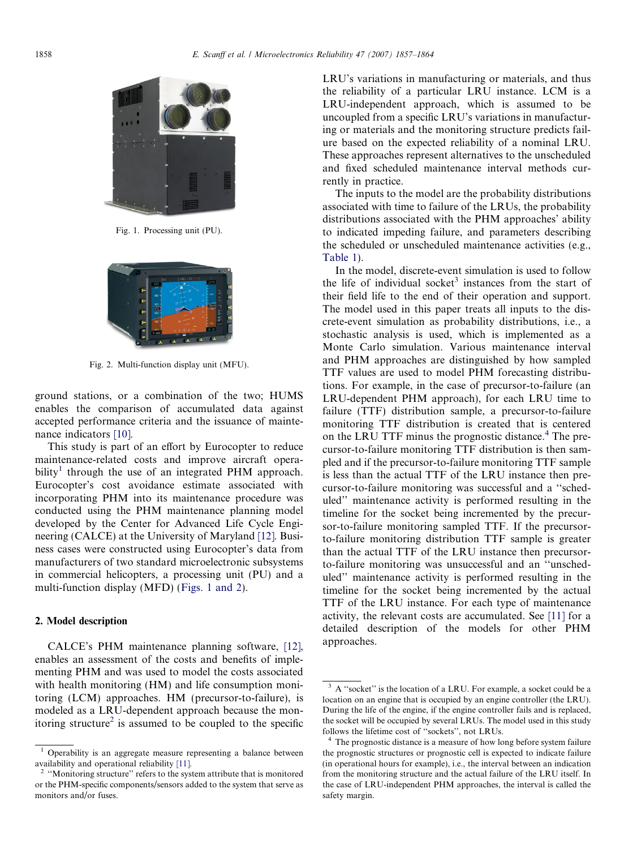<span id="page-1-0"></span>

Fig. 1. Processing unit (PU).



Fig. 2. Multi-function display unit (MFU).

ground stations, or a combination of the two; HUMS enables the comparison of accumulated data against accepted performance criteria and the issuance of mainte-nance indicators [\[10\].](#page-7-0)

This study is part of an effort by Eurocopter to reduce maintenance-related costs and improve aircraft operability<sup>1</sup> through the use of an integrated PHM approach. Eurocopter's cost avoidance estimate associated with incorporating PHM into its maintenance procedure was conducted using the PHM maintenance planning model developed by the Center for Advanced Life Cycle Engineering (CALCE) at the University of Maryland [\[12\]](#page-7-0). Business cases were constructed using Eurocopter's data from manufacturers of two standard microelectronic subsystems in commercial helicopters, a processing unit (PU) and a multi-function display (MFD) (Figs. 1 and 2).

### 2. Model description

CALCE's PHM maintenance planning software, [\[12\]](#page-7-0), enables an assessment of the costs and benefits of implementing PHM and was used to model the costs associated with health monitoring (HM) and life consumption monitoring (LCM) approaches. HM (precursor-to-failure), is modeled as a LRU-dependent approach because the monitoring structure<sup>2</sup> is assumed to be coupled to the specific LRU's variations in manufacturing or materials, and thus the reliability of a particular LRU instance. LCM is a LRU-independent approach, which is assumed to be uncoupled from a specific LRU's variations in manufacturing or materials and the monitoring structure predicts failure based on the expected reliability of a nominal LRU. These approaches represent alternatives to the unscheduled and fixed scheduled maintenance interval methods currently in practice.

The inputs to the model are the probability distributions associated with time to failure of the LRUs, the probability distributions associated with the PHM approaches' ability to indicated impeding failure, and parameters describing the scheduled or unscheduled maintenance activities (e.g., [Table 1](#page-2-0)).

In the model, discrete-event simulation is used to follow the life of individual socket<sup>3</sup> instances from the start of their field life to the end of their operation and support. The model used in this paper treats all inputs to the discrete-event simulation as probability distributions, i.e., a stochastic analysis is used, which is implemented as a Monte Carlo simulation. Various maintenance interval and PHM approaches are distinguished by how sampled TTF values are used to model PHM forecasting distributions. For example, in the case of precursor-to-failure (an LRU-dependent PHM approach), for each LRU time to failure (TTF) distribution sample, a precursor-to-failure monitoring TTF distribution is created that is centered on the LRU TTF minus the prognostic distance.<sup>4</sup> The precursor-to-failure monitoring TTF distribution is then sampled and if the precursor-to-failure monitoring TTF sample is less than the actual TTF of the LRU instance then precursor-to-failure monitoring was successful and a ''scheduled'' maintenance activity is performed resulting in the timeline for the socket being incremented by the precursor-to-failure monitoring sampled TTF. If the precursorto-failure monitoring distribution TTF sample is greater than the actual TTF of the LRU instance then precursorto-failure monitoring was unsuccessful and an ''unscheduled'' maintenance activity is performed resulting in the timeline for the socket being incremented by the actual TTF of the LRU instance. For each type of maintenance activity, the relevant costs are accumulated. See [\[11\]](#page-7-0) for a detailed description of the models for other PHM approaches.

<sup>1</sup> Operability is an aggregate measure representing a balance between availability and operational reliability [\[11\]](#page-7-0).

<sup>&</sup>lt;sup>2</sup> "Monitoring structure" refers to the system attribute that is monitored or the PHM-specific components/sensors added to the system that serve as monitors and/or fuses.

<sup>&</sup>lt;sup>3</sup> A "socket" is the location of a LRU. For example, a socket could be a location on an engine that is occupied by an engine controller (the LRU). During the life of the engine, if the engine controller fails and is replaced, the socket will be occupied by several LRUs. The model used in this study follows the lifetime cost of ''sockets'', not LRUs.

<sup>&</sup>lt;sup>4</sup> The prognostic distance is a measure of how long before system failure the prognostic structures or prognostic cell is expected to indicate failure (in operational hours for example), i.e., the interval between an indication from the monitoring structure and the actual failure of the LRU itself. In the case of LRU-independent PHM approaches, the interval is called the safety margin.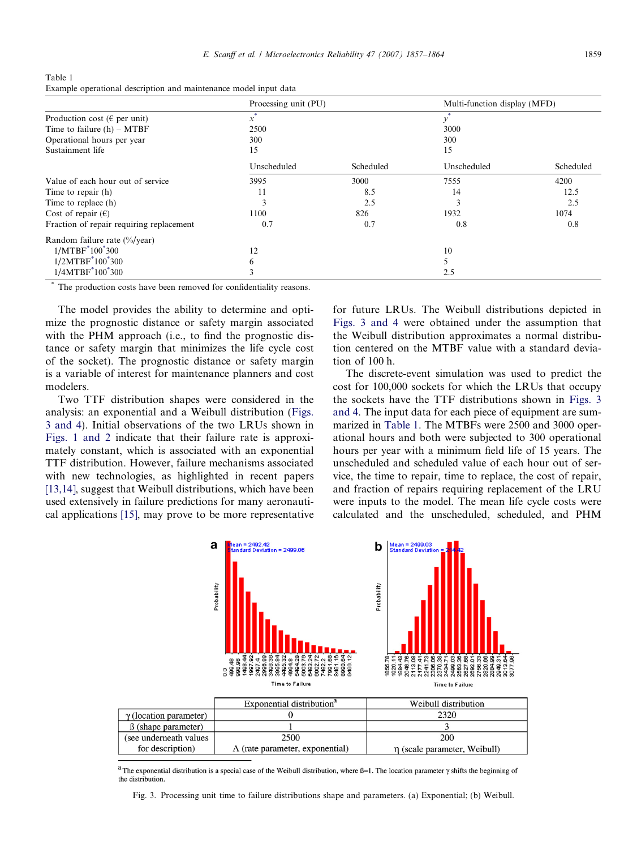<span id="page-2-0"></span>Table 1 Example operational description and maintenance model input data

|                                                            | Processing unit (PU) |           |             | Multi-function display (MFD) |  |
|------------------------------------------------------------|----------------------|-----------|-------------|------------------------------|--|
| Production cost ( $\epsilon$ per unit)                     | $\chi$               |           |             |                              |  |
| Time to failure $(h)$ – MTBF<br>Operational hours per year | 2500<br>300          |           | 3000<br>300 |                              |  |
| Sustainment life                                           | 15                   |           | 15          |                              |  |
|                                                            | Unscheduled          | Scheduled | Unscheduled | Scheduled                    |  |
| Value of each hour out of service                          | 3995                 | 3000      | 7555        | 4200                         |  |
| Time to repair (h)                                         | 11                   | 8.5       | 14          | 12.5                         |  |
| Time to replace (h)                                        |                      | 2.5       |             | 2.5                          |  |
| Cost of repair $(\epsilon)$                                | 826<br>1100          |           | 1932        | 1074                         |  |
| Fraction of repair requiring replacement                   | 0.7                  | 0.7       | 0.8         | 0.8                          |  |
| Random failure rate (%/year)                               |                      |           |             |                              |  |
| $1/MTBF^*100^*300$                                         | 12                   |           | 10          |                              |  |
| $1/2$ MTBF $*100*300$                                      | 6.                   |           |             |                              |  |
| $1/4MTBF^*100^*300$                                        |                      |           | 2.5         |                              |  |

\* The production costs have been removed for confidentiality reasons.

The model provides the ability to determine and optimize the prognostic distance or safety margin associated with the PHM approach (i.e., to find the prognostic distance or safety margin that minimizes the life cycle cost of the socket). The prognostic distance or safety margin is a variable of interest for maintenance planners and cost modelers.

Two TTF distribution shapes were considered in the analysis: an exponential and a Weibull distribution (Figs. 3 and 4). Initial observations of the two LRUs shown in [Figs. 1 and 2](#page-1-0) indicate that their failure rate is approximately constant, which is associated with an exponential TTF distribution. However, failure mechanisms associated with new technologies, as highlighted in recent papers [\[13,14\],](#page-7-0) suggest that Weibull distributions, which have been used extensively in failure predictions for many aeronautical applications [\[15\]](#page-7-0), may prove to be more representative for future LRUs. The Weibull distributions depicted in Figs. 3 and 4 were obtained under the assumption that the Weibull distribution approximates a normal distribution centered on the MTBF value with a standard deviation of 100 h.

The discrete-event simulation was used to predict the cost for 100,000 sockets for which the LRUs that occupy the sockets have the TTF distributions shown in Figs. 3 and 4. The input data for each piece of equipment are summarized in Table 1. The MTBFs were 2500 and 3000 operational hours and both were subjected to 300 operational hours per year with a minimum field life of 15 years. The unscheduled and scheduled value of each hour out of service, the time to repair, time to replace, the cost of repair, and fraction of repairs requiring replacement of the LRU were inputs to the model. The mean life cycle costs were calculated and the unscheduled, scheduled, and PHM



<sup>a</sup> The exponential distribution is a special case of the Weibull distribution, where  $\beta=1$ . The location parameter  $\gamma$  shifts the beginning of the distribution.

Fig. 3. Processing unit time to failure distributions shape and parameters. (a) Exponential; (b) Weibull.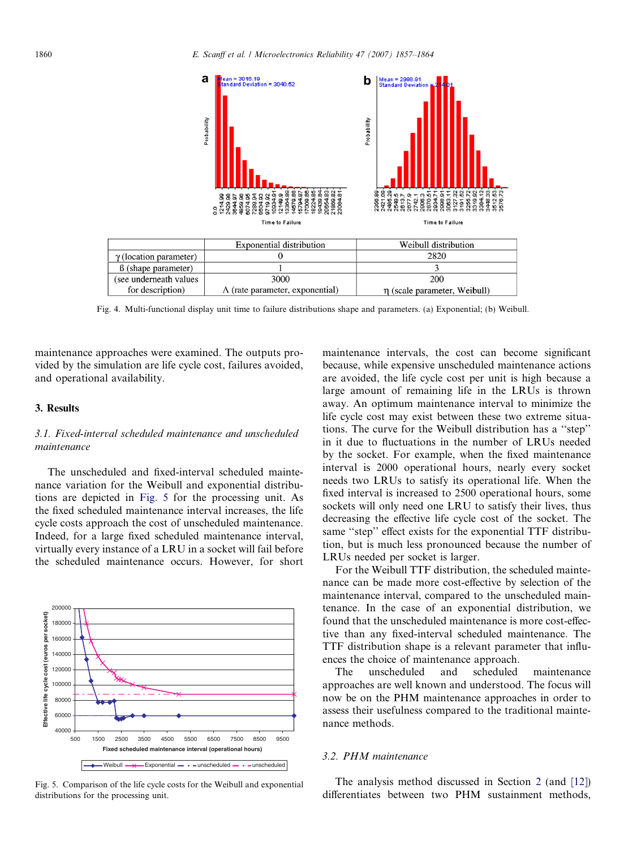<span id="page-3-0"></span>

Fig. 4. Multi-functional display unit time to failure distributions shape and parameters. (a) Exponential; (b) Weibull.

maintenance approaches were examined. The outputs provided by the simulation are life cycle cost, failures avoided, and operational availability.

# 3. Results

# 3.1. Fixed-interval scheduled maintenance and unscheduled maintenance

The unscheduled and fixed-interval scheduled maintenance variation for the Weibull and exponential distributions are depicted in Fig. 5 for the processing unit. As the fixed scheduled maintenance interval increases, the life cycle costs approach the cost of unscheduled maintenance. Indeed, for a large fixed scheduled maintenance interval, virtually every instance of a LRU in a socket will fail before the scheduled maintenance occurs. However, for short



Fig. 5. Comparison of the life cycle costs for the Weibull and exponential distributions for the processing unit.

maintenance intervals, the cost can become significant because, while expensive unscheduled maintenance actions are avoided, the life cycle cost per unit is high because a large amount of remaining life in the LRUs is thrown away. An optimum maintenance interval to minimize the life cycle cost may exist between these two extreme situations. The curve for the Weibull distribution has a ''step'' in it due to fluctuations in the number of LRUs needed by the socket. For example, when the fixed maintenance interval is 2000 operational hours, nearly every socket needs two LRUs to satisfy its operational life. When the fixed interval is increased to 2500 operational hours, some sockets will only need one LRU to satisfy their lives, thus decreasing the effective life cycle cost of the socket. The same "step" effect exists for the exponential TTF distribution, but is much less pronounced because the number of LRUs needed per socket is larger.

For the Weibull TTF distribution, the scheduled maintenance can be made more cost-effective by selection of the maintenance interval, compared to the unscheduled maintenance. In the case of an exponential distribution, we found that the unscheduled maintenance is more cost-effective than any fixed-interval scheduled maintenance. The TTF distribution shape is a relevant parameter that influences the choice of maintenance approach.

The unscheduled and scheduled maintenance approaches are well known and understood. The focus will now be on the PHM maintenance approaches in order to assess their usefulness compared to the traditional maintenance methods.

## 3.2. PHM maintenance

The analysis method discussed in Section [2](#page-1-0) (and [\[12\]](#page-7-0)) differentiates between two PHM sustainment methods,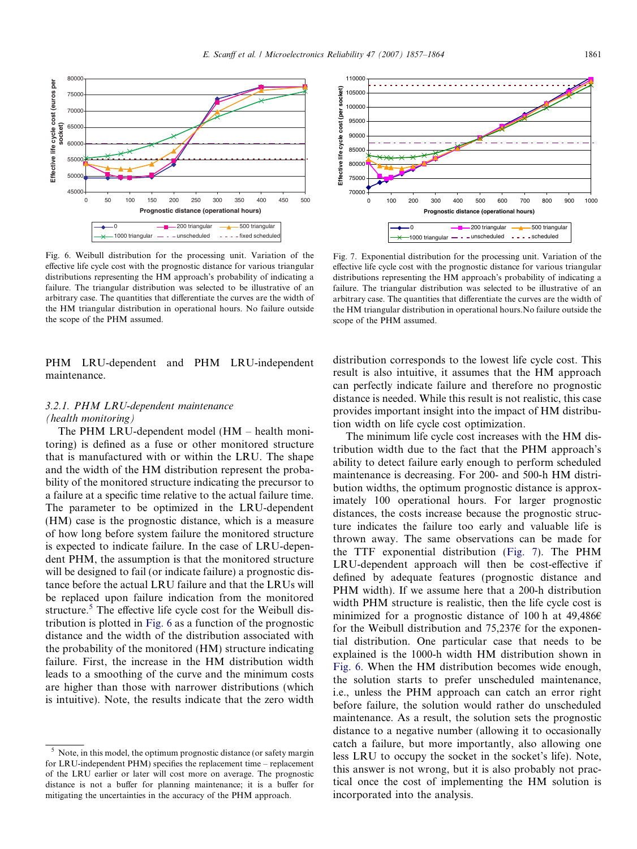

Fig. 6. Weibull distribution for the processing unit. Variation of the effective life cycle cost with the prognostic distance for various triangular distributions representing the HM approach's probability of indicating a failure. The triangular distribution was selected to be illustrative of an arbitrary case. The quantities that differentiate the curves are the width of the HM triangular distribution in operational hours. No failure outside the scope of the PHM assumed.

PHM LRU-dependent and PHM LRU-independent maintenance.

## 3.2.1. PHM LRU-dependent maintenance (health monitoring)

The PHM LRU-dependent model (HM – health monitoring) is defined as a fuse or other monitored structure that is manufactured with or within the LRU. The shape and the width of the HM distribution represent the probability of the monitored structure indicating the precursor to a failure at a specific time relative to the actual failure time. The parameter to be optimized in the LRU-dependent (HM) case is the prognostic distance, which is a measure of how long before system failure the monitored structure is expected to indicate failure. In the case of LRU-dependent PHM, the assumption is that the monitored structure will be designed to fail (or indicate failure) a prognostic distance before the actual LRU failure and that the LRUs will be replaced upon failure indication from the monitored structure.<sup>5</sup> The effective life cycle cost for the Weibull distribution is plotted in Fig. 6 as a function of the prognostic distance and the width of the distribution associated with the probability of the monitored (HM) structure indicating failure. First, the increase in the HM distribution width leads to a smoothing of the curve and the minimum costs are higher than those with narrower distributions (which is intuitive). Note, the results indicate that the zero width



Fig. 7. Exponential distribution for the processing unit. Variation of the effective life cycle cost with the prognostic distance for various triangular distributions representing the HM approach's probability of indicating a failure. The triangular distribution was selected to be illustrative of an arbitrary case. The quantities that differentiate the curves are the width of the HM triangular distribution in operational hours.No failure outside the scope of the PHM assumed.

distribution corresponds to the lowest life cycle cost. This result is also intuitive, it assumes that the HM approach can perfectly indicate failure and therefore no prognostic distance is needed. While this result is not realistic, this case provides important insight into the impact of HM distribution width on life cycle cost optimization.

The minimum life cycle cost increases with the HM distribution width due to the fact that the PHM approach's ability to detect failure early enough to perform scheduled maintenance is decreasing. For 200- and 500-h HM distribution widths, the optimum prognostic distance is approximately 100 operational hours. For larger prognostic distances, the costs increase because the prognostic structure indicates the failure too early and valuable life is thrown away. The same observations can be made for the TTF exponential distribution (Fig. 7). The PHM LRU-dependent approach will then be cost-effective if defined by adequate features (prognostic distance and PHM width). If we assume here that a 200-h distribution width PHM structure is realistic, then the life cycle cost is minimized for a prognostic distance of 100 h at 49,486 $\epsilon$ for the Weibull distribution and  $75,237\epsilon$  for the exponential distribution. One particular case that needs to be explained is the 1000-h width HM distribution shown in Fig. 6. When the HM distribution becomes wide enough, the solution starts to prefer unscheduled maintenance, i.e., unless the PHM approach can catch an error right before failure, the solution would rather do unscheduled maintenance. As a result, the solution sets the prognostic distance to a negative number (allowing it to occasionally catch a failure, but more importantly, also allowing one less LRU to occupy the socket in the socket's life). Note, this answer is not wrong, but it is also probably not practical once the cost of implementing the HM solution is incorporated into the analysis.

<sup>5</sup> Note, in this model, the optimum prognostic distance (or safety margin for LRU-independent PHM) specifies the replacement time – replacement of the LRU earlier or later will cost more on average. The prognostic distance is not a buffer for planning maintenance; it is a buffer for mitigating the uncertainties in the accuracy of the PHM approach.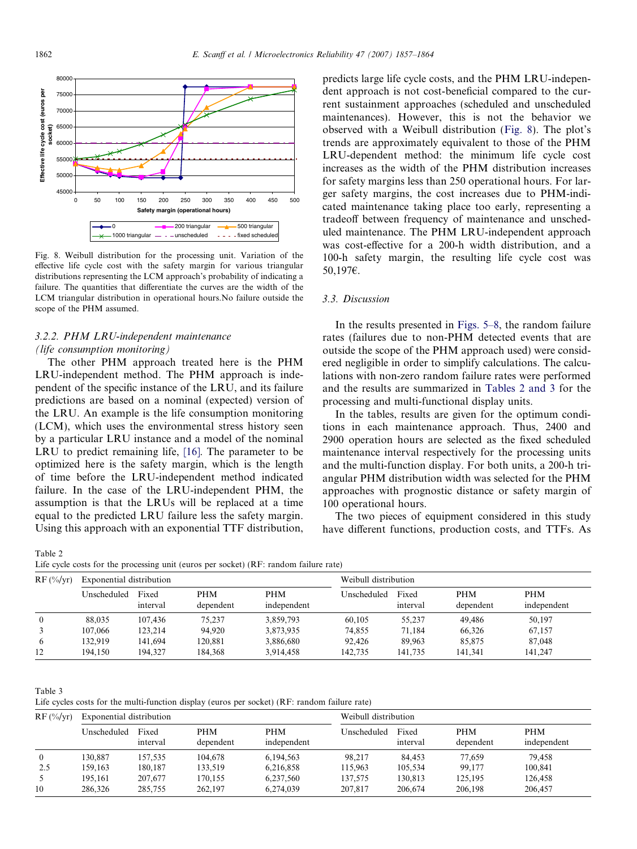

Fig. 8. Weibull distribution for the processing unit. Variation of the effective life cycle cost with the safety margin for various triangular distributions representing the LCM approach's probability of indicating a failure. The quantities that differentiate the curves are the width of the LCM triangular distribution in operational hours.No failure outside the scope of the PHM assumed.

## 3.2.2. PHM LRU-independent maintenance (life consumption monitoring)

The other PHM approach treated here is the PHM LRU-independent method. The PHM approach is independent of the specific instance of the LRU, and its failure predictions are based on a nominal (expected) version of the LRU. An example is the life consumption monitoring (LCM), which uses the environmental stress history seen by a particular LRU instance and a model of the nominal LRU to predict remaining life, [\[16\].](#page-7-0) The parameter to be optimized here is the safety margin, which is the length of time before the LRU-independent method indicated failure. In the case of the LRU-independent PHM, the assumption is that the LRUs will be replaced at a time equal to the predicted LRU failure less the safety margin. Using this approach with an exponential TTF distribution,

Table 2

Life cycle costs for the processing unit (euros per socket) (RF: random failure rate)

| $RF$ (%/yr) | Exponential distribution |                   |                         |                           |             | Weibull distribution |                         |                           |  |  |
|-------------|--------------------------|-------------------|-------------------------|---------------------------|-------------|----------------------|-------------------------|---------------------------|--|--|
|             | Unscheduled              | Fixed<br>interval | <b>PHM</b><br>dependent | <b>PHM</b><br>independent | Unscheduled | Fixed<br>interval    | <b>PHM</b><br>dependent | <b>PHM</b><br>independent |  |  |
| 0           | 88,035                   | 107.436           | 75.237                  | 3,859,793                 | 60,105      | 55,237               | 49.486                  | 50,197                    |  |  |
|             | 107.066                  | 123,214           | 94.920                  | 3,873,935                 | 74,855      | 71.184               | 66,326                  | 67,157                    |  |  |
| 6           | 132.919                  | 141.694           | 120.881                 | 3,886,680                 | 92.426      | 89.963               | 85,875                  | 87,048                    |  |  |
| 12          | 194.150                  | 194.327           | 184.368                 | 3.914.458                 | 142.735     | 141.735              | 141.341                 | 141.247                   |  |  |

Table 3 Life cycles costs for the multi-function display (euros per socket) (RF: random failure rate)

| $RF$ (%/yr) | Exponential distribution |                    |                         |                           | Weibull distribution |                    |                         |                           |
|-------------|--------------------------|--------------------|-------------------------|---------------------------|----------------------|--------------------|-------------------------|---------------------------|
|             | Unscheduled              | Fixed<br>interval  | <b>PHM</b><br>dependent | <b>PHM</b><br>independent | Unscheduled          | Fixed<br>interval  | <b>PHM</b><br>dependent | <b>PHM</b><br>independent |
| $\theta$    | 130.887                  | 157,535            | 104.678                 | 6.194.563                 | 98.217               | 84.453             | 77.659                  | 79.458                    |
| 2.5         | 159.163                  | 180.187            | 133.519                 | 6,216,858                 | 115.963              | 105.534            | 99.177                  | 100.841                   |
| 10          | 195.161<br>286,326       | 207,677<br>285,755 | 170.155<br>262,197      | 6.237.560<br>6.274.039    | 137.575<br>207,817   | 130.813<br>206,674 | 125,195<br>206,198      | 126,458<br>206,457        |

predicts large life cycle costs, and the PHM LRU-independent approach is not cost-beneficial compared to the current sustainment approaches (scheduled and unscheduled maintenances). However, this is not the behavior we observed with a Weibull distribution (Fig. 8). The plot's trends are approximately equivalent to those of the PHM LRU-dependent method: the minimum life cycle cost increases as the width of the PHM distribution increases for safety margins less than 250 operational hours. For larger safety margins, the cost increases due to PHM-indicated maintenance taking place too early, representing a tradeoff between frequency of maintenance and unscheduled maintenance. The PHM LRU-independent approach was cost-effective for a 200-h width distribution, and a 100-h safety margin, the resulting life cycle cost was 50,197€.

## 3.3. Discussion

In the results presented in [Figs. 5–8,](#page-3-0) the random failure rates (failures due to non-PHM detected events that are outside the scope of the PHM approach used) were considered negligible in order to simplify calculations. The calculations with non-zero random failure rates were performed and the results are summarized in Tables 2 and 3 for the processing and multi-functional display units.

In the tables, results are given for the optimum conditions in each maintenance approach. Thus, 2400 and 2900 operation hours are selected as the fixed scheduled maintenance interval respectively for the processing units and the multi-function display. For both units, a 200-h triangular PHM distribution width was selected for the PHM approaches with prognostic distance or safety margin of 100 operational hours.

The two pieces of equipment considered in this study have different functions, production costs, and TTFs. As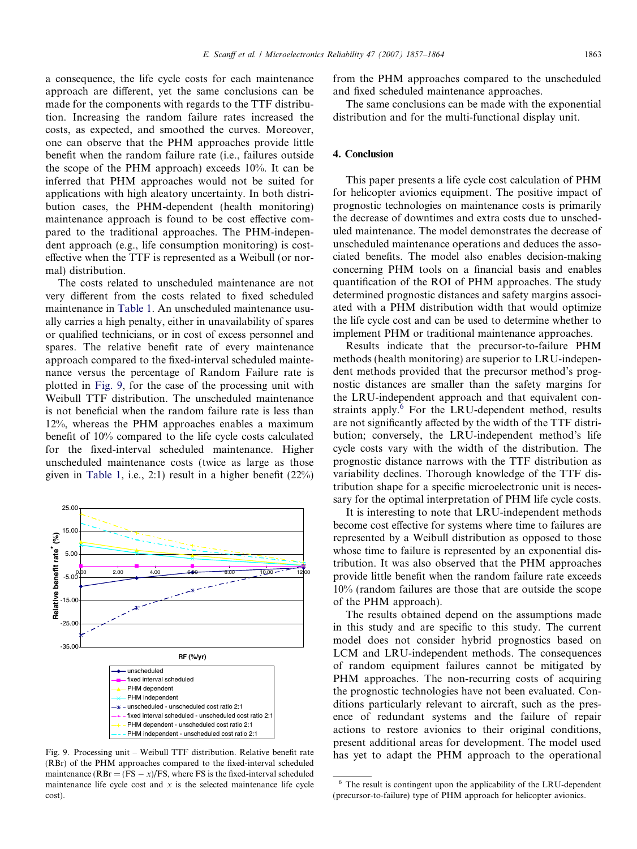a consequence, the life cycle costs for each maintenance approach are different, yet the same conclusions can be made for the components with regards to the TTF distribution. Increasing the random failure rates increased the costs, as expected, and smoothed the curves. Moreover, one can observe that the PHM approaches provide little benefit when the random failure rate (i.e., failures outside the scope of the PHM approach) exceeds 10%. It can be inferred that PHM approaches would not be suited for applications with high aleatory uncertainty. In both distribution cases, the PHM-dependent (health monitoring) maintenance approach is found to be cost effective compared to the traditional approaches. The PHM-independent approach (e.g., life consumption monitoring) is costeffective when the TTF is represented as a Weibull (or normal) distribution.

The costs related to unscheduled maintenance are not very different from the costs related to fixed scheduled maintenance in [Table 1](#page-2-0). An unscheduled maintenance usually carries a high penalty, either in unavailability of spares or qualified technicians, or in cost of excess personnel and spares. The relative benefit rate of every maintenance approach compared to the fixed-interval scheduled maintenance versus the percentage of Random Failure rate is plotted in Fig. 9, for the case of the processing unit with Weibull TTF distribution. The unscheduled maintenance is not beneficial when the random failure rate is less than 12%, whereas the PHM approaches enables a maximum benefit of 10% compared to the life cycle costs calculated for the fixed-interval scheduled maintenance. Higher unscheduled maintenance costs (twice as large as those given in [Table 1](#page-2-0), i.e., 2:1) result in a higher benefit (22%)



Fig. 9. Processing unit – Weibull TTF distribution. Relative benefit rate (RBr) of the PHM approaches compared to the fixed-interval scheduled maintenance  $(RBr = (FS - x)/FS$ , where FS is the fixed-interval scheduled maintenance life cycle cost and  $x$  is the selected maintenance life cycle cost).

from the PHM approaches compared to the unscheduled and fixed scheduled maintenance approaches.

The same conclusions can be made with the exponential distribution and for the multi-functional display unit.

## 4. Conclusion

This paper presents a life cycle cost calculation of PHM for helicopter avionics equipment. The positive impact of prognostic technologies on maintenance costs is primarily the decrease of downtimes and extra costs due to unscheduled maintenance. The model demonstrates the decrease of unscheduled maintenance operations and deduces the associated benefits. The model also enables decision-making concerning PHM tools on a financial basis and enables quantification of the ROI of PHM approaches. The study determined prognostic distances and safety margins associated with a PHM distribution width that would optimize the life cycle cost and can be used to determine whether to implement PHM or traditional maintenance approaches.

Results indicate that the precursor-to-failure PHM methods (health monitoring) are superior to LRU-independent methods provided that the precursor method's prognostic distances are smaller than the safety margins for the LRU-independent approach and that equivalent constraints apply.<sup>6</sup> For the LRU-dependent method, results are not significantly affected by the width of the TTF distribution; conversely, the LRU-independent method's life cycle costs vary with the width of the distribution. The prognostic distance narrows with the TTF distribution as variability declines. Thorough knowledge of the TTF distribution shape for a specific microelectronic unit is necessary for the optimal interpretation of PHM life cycle costs.

It is interesting to note that LRU-independent methods become cost effective for systems where time to failures are represented by a Weibull distribution as opposed to those whose time to failure is represented by an exponential distribution. It was also observed that the PHM approaches provide little benefit when the random failure rate exceeds 10% (random failures are those that are outside the scope of the PHM approach).

The results obtained depend on the assumptions made in this study and are specific to this study. The current model does not consider hybrid prognostics based on LCM and LRU-independent methods. The consequences of random equipment failures cannot be mitigated by PHM approaches. The non-recurring costs of acquiring the prognostic technologies have not been evaluated. Conditions particularly relevant to aircraft, such as the presence of redundant systems and the failure of repair actions to restore avionics to their original conditions, present additional areas for development. The model used has yet to adapt the PHM approach to the operational

<sup>6</sup> The result is contingent upon the applicability of the LRU-dependent (precursor-to-failure) type of PHM approach for helicopter avionics.